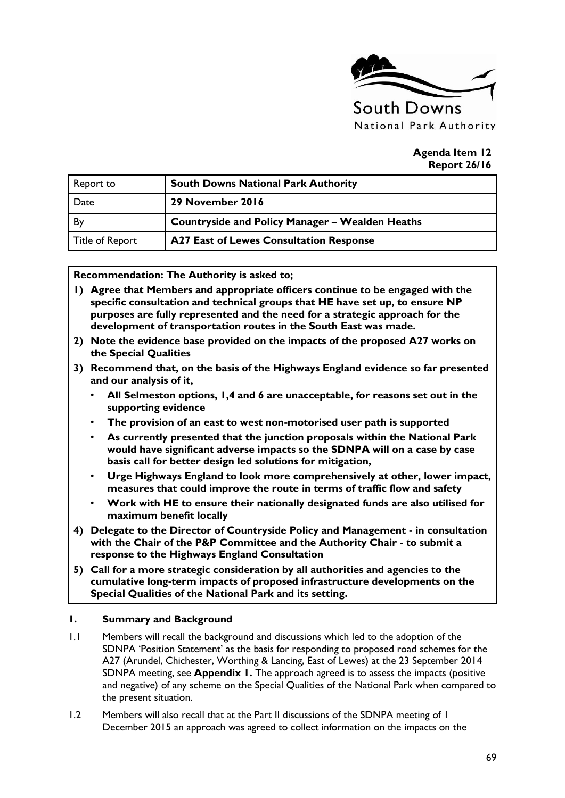

#### **Agenda Item 12 Report 26/16**

| Report to       | <b>South Downs National Park Authority</b>             |
|-----------------|--------------------------------------------------------|
| Date            | 29 November 2016                                       |
| By              | <b>Countryside and Policy Manager - Wealden Heaths</b> |
| Title of Report | <b>A27 East of Lewes Consultation Response</b>         |

#### **Recommendation: The Authority is asked to;**

- **1) Agree that Members and appropriate officers continue to be engaged with the specific consultation and technical groups that HE have set up, to ensure NP purposes are fully represented and the need for a strategic approach for the development of transportation routes in the South East was made.**
- **2) Note the evidence base provided on the impacts of the proposed A27 works on the Special Qualities**
- **3) Recommend that, on the basis of the Highways England evidence so far presented and our analysis of it,**
	- **All Selmeston options, 1,4 and 6 are unacceptable, for reasons set out in the supporting evidence**
	- **The provision of an east to west non-motorised user path is supported**
	- **As currently presented that the junction proposals within the National Park would have significant adverse impacts so the SDNPA will on a case by case basis call for better design led solutions for mitigation,**
	- **Urge Highways England to look more comprehensively at other, lower impact, measures that could improve the route in terms of traffic flow and safety**
	- **Work with HE to ensure their nationally designated funds are also utilised for maximum benefit locally**
- **4) Delegate to the Director of Countryside Policy and Management - in consultation with the Chair of the P&P Committee and the Authority Chair - to submit a response to the Highways England Consultation**
- **5) Call for a more strategic consideration by all authorities and agencies to the cumulative long-term impacts of proposed infrastructure developments on the Special Qualities of the National Park and its setting.**

#### **1. Summary and Background**

- 1.1 Members will recall the background and discussions which led to the adoption of the SDNPA 'Position Statement' as the basis for responding to proposed road schemes for the A27 (Arundel, Chichester, Worthing & Lancing, East of Lewes) at the 23 September 2014 SDNPA meeting, see **Appendix 1.** The approach agreed is to assess the impacts (positive and negative) of any scheme on the Special Qualities of the National Park when compared to the present situation.
- 1.2 Members will also recall that at the Part II discussions of the SDNPA meeting of 1 December 2015 an approach was agreed to collect information on the impacts on the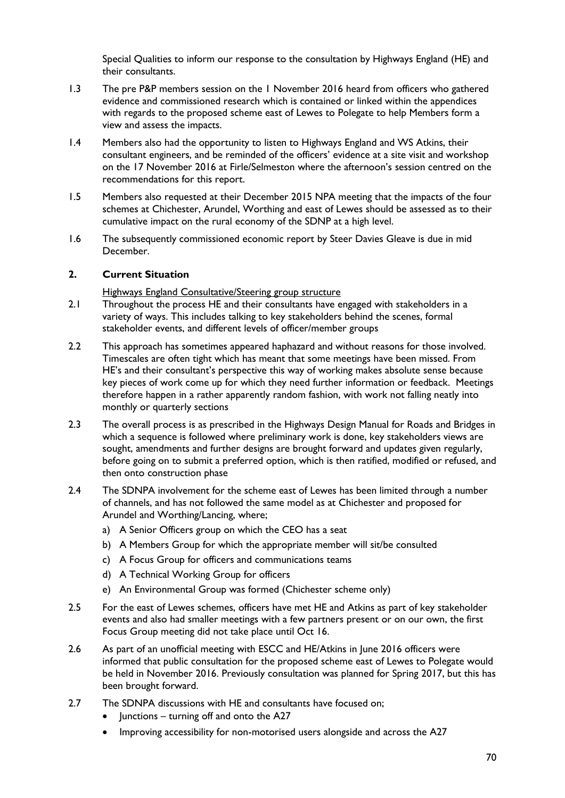Special Qualities to inform our response to the consultation by Highways England (HE) and their consultants.

- 1.3 The pre P&P members session on the 1 November 2016 heard from officers who gathered evidence and commissioned research which is contained or linked within the appendices with regards to the proposed scheme east of Lewes to Polegate to help Members form a view and assess the impacts.
- 1.4 Members also had the opportunity to listen to Highways England and WS Atkins, their consultant engineers, and be reminded of the officers' evidence at a site visit and workshop on the 17 November 2016 at Firle/Selmeston where the afternoon's session centred on the recommendations for this report.
- 1.5 Members also requested at their December 2015 NPA meeting that the impacts of the four schemes at Chichester, Arundel, Worthing and east of Lewes should be assessed as to their cumulative impact on the rural economy of the SDNP at a high level.
- 1.6 The subsequently commissioned economic report by Steer Davies Gleave is due in mid December.

# **2. Current Situation**

Highways England Consultative/Steering group structure

- 2.1 Throughout the process HE and their consultants have engaged with stakeholders in a variety of ways. This includes talking to key stakeholders behind the scenes, formal stakeholder events, and different levels of officer/member groups
- 2.2 This approach has sometimes appeared haphazard and without reasons for those involved. Timescales are often tight which has meant that some meetings have been missed. From HE's and their consultant's perspective this way of working makes absolute sense because key pieces of work come up for which they need further information or feedback. Meetings therefore happen in a rather apparently random fashion, with work not falling neatly into monthly or quarterly sections
- 2.3 The overall process is as prescribed in the Highways Design Manual for Roads and Bridges in which a sequence is followed where preliminary work is done, key stakeholders views are sought, amendments and further designs are brought forward and updates given regularly, before going on to submit a preferred option, which is then ratified, modified or refused, and then onto construction phase
- 2.4 The SDNPA involvement for the scheme east of Lewes has been limited through a number of channels, and has not followed the same model as at Chichester and proposed for Arundel and Worthing/Lancing, where;
	- a) A Senior Officers group on which the CEO has a seat
	- b) A Members Group for which the appropriate member will sit/be consulted
	- c) A Focus Group for officers and communications teams
	- d) A Technical Working Group for officers
	- e) An Environmental Group was formed (Chichester scheme only)
- 2.5 For the east of Lewes schemes, officers have met HE and Atkins as part of key stakeholder events and also had smaller meetings with a few partners present or on our own, the first Focus Group meeting did not take place until Oct 16.
- 2.6 As part of an unofficial meeting with ESCC and HE/Atkins in June 2016 officers were informed that public consultation for the proposed scheme east of Lewes to Polegate would be held in November 2016. Previously consultation was planned for Spring 2017, but this has been brought forward.
- 2.7 The SDNPA discussions with HE and consultants have focused on;
	- Junctions turning off and onto the A27
	- Improving accessibility for non-motorised users alongside and across the A27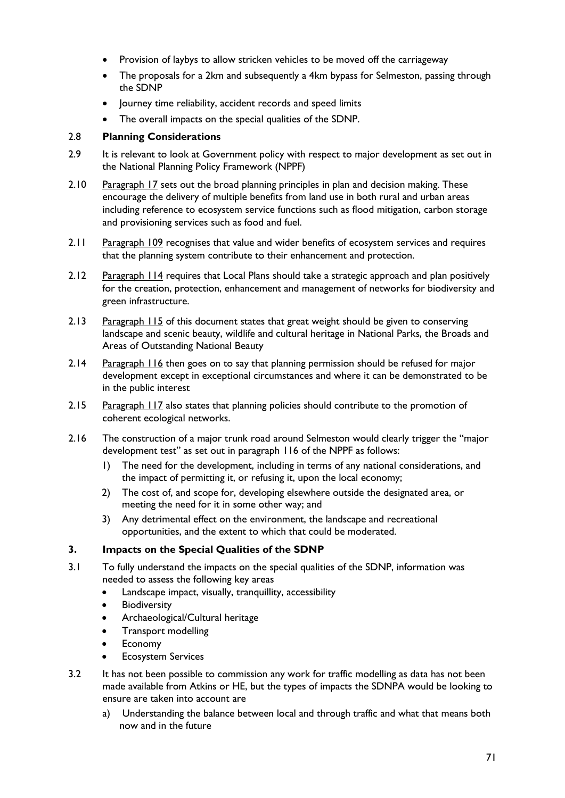- Provision of laybys to allow stricken vehicles to be moved off the carriageway
- The proposals for a 2km and subsequently a 4km bypass for Selmeston, passing through the SDNP
- Journey time reliability, accident records and speed limits
- The overall impacts on the special qualities of the SDNP.

# 2.8 **Planning Considerations**

- 2.9 It is relevant to look at Government policy with respect to maior development as set out in the National Planning Policy Framework (NPPF)
- 2.10 Paragraph 17 sets out the broad planning principles in plan and decision making. These encourage the delivery of multiple benefits from land use in both rural and urban areas including reference to ecosystem service functions such as flood mitigation, carbon storage and provisioning services such as food and fuel.
- 2.11 Paragraph 109 recognises that value and wider benefits of ecosystem services and requires that the planning system contribute to their enhancement and protection.
- 2.12 Paragraph 114 requires that Local Plans should take a strategic approach and plan positively for the creation, protection, enhancement and management of networks for biodiversity and green infrastructure.
- 2.13 Paragraph 115 of this document states that great weight should be given to conserving landscape and scenic beauty, wildlife and cultural heritage in National Parks, the Broads and Areas of Outstanding National Beauty
- 2.14 Paragraph 116 then goes on to say that planning permission should be refused for major development except in exceptional circumstances and where it can be demonstrated to be in the public interest
- 2.15 Paragraph 117 also states that planning policies should contribute to the promotion of coherent ecological networks.
- 2.16 The construction of a major trunk road around Selmeston would clearly trigger the "major development test" as set out in paragraph 116 of the NPPF as follows:
	- 1) The need for the development, including in terms of any national considerations, and the impact of permitting it, or refusing it, upon the local economy;
	- 2) The cost of, and scope for, developing elsewhere outside the designated area, or meeting the need for it in some other way; and
	- 3) Any detrimental effect on the environment, the landscape and recreational opportunities, and the extent to which that could be moderated.

# **3. Impacts on the Special Qualities of the SDNP**

- 3.1 To fully understand the impacts on the special qualities of the SDNP, information was needed to assess the following key areas
	- Landscape impact, visually, tranquillity, accessibility
	- **Biodiversity**
	- Archaeological/Cultural heritage
	- Transport modelling
	- Economy
	- Ecosystem Services
- 3.2 It has not been possible to commission any work for traffic modelling as data has not been made available from Atkins or HE, but the types of impacts the SDNPA would be looking to ensure are taken into account are
	- a) Understanding the balance between local and through traffic and what that means both now and in the future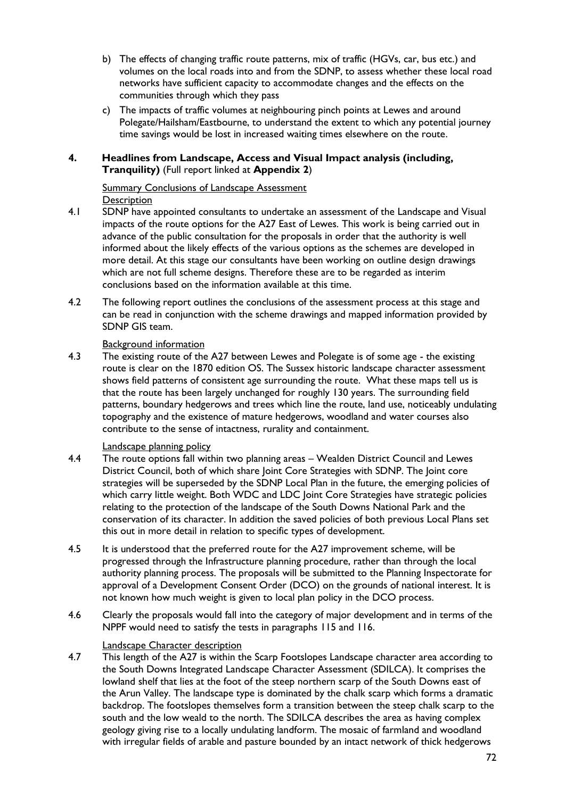- b) The effects of changing traffic route patterns, mix of traffic (HGVs, car, bus etc.) and volumes on the local roads into and from the SDNP, to assess whether these local road networks have sufficient capacity to accommodate changes and the effects on the communities through which they pass
- c) The impacts of traffic volumes at neighbouring pinch points at Lewes and around Polegate/Hailsham/Eastbourne, to understand the extent to which any potential journey time savings would be lost in increased waiting times elsewhere on the route.

# **4. Headlines from Landscape, Access and Visual Impact analysis (including, Tranquility)** (Full report linked at **Appendix 2**)

# Summary Conclusions of Landscape Assessment

# **Description**

- 4.1 SDNP have appointed consultants to undertake an assessment of the Landscape and Visual impacts of the route options for the A27 East of Lewes. This work is being carried out in advance of the public consultation for the proposals in order that the authority is well informed about the likely effects of the various options as the schemes are developed in more detail. At this stage our consultants have been working on outline design drawings which are not full scheme designs. Therefore these are to be regarded as interim conclusions based on the information available at this time.
- 4.2 The following report outlines the conclusions of the assessment process at this stage and can be read in conjunction with the scheme drawings and mapped information provided by SDNP GIS team.

# Background information

4.3 The existing route of the A27 between Lewes and Polegate is of some age - the existing route is clear on the 1870 edition OS. The Sussex historic landscape character assessment shows field patterns of consistent age surrounding the route. What these maps tell us is that the route has been largely unchanged for roughly 130 years. The surrounding field patterns, boundary hedgerows and trees which line the route, land use, noticeably undulating topography and the existence of mature hedgerows, woodland and water courses also contribute to the sense of intactness, rurality and containment.

# Landscape planning policy

- 4.4 The route options fall within two planning areas Wealden District Council and Lewes District Council, both of which share Joint Core Strategies with SDNP. The Joint core strategies will be superseded by the SDNP Local Plan in the future, the emerging policies of which carry little weight. Both WDC and LDC Joint Core Strategies have strategic policies relating to the protection of the landscape of the South Downs National Park and the conservation of its character. In addition the saved policies of both previous Local Plans set this out in more detail in relation to specific types of development.
- 4.5 It is understood that the preferred route for the A27 improvement scheme, will be progressed through the Infrastructure planning procedure, rather than through the local authority planning process. The proposals will be submitted to the Planning Inspectorate for approval of a Development Consent Order (DCO) on the grounds of national interest. It is not known how much weight is given to local plan policy in the DCO process.
- 4.6 Clearly the proposals would fall into the category of major development and in terms of the NPPF would need to satisfy the tests in paragraphs 115 and 116.

# Landscape Character description

4.7 This length of the A27 is within the Scarp Footslopes Landscape character area according to the South Downs Integrated Landscape Character Assessment (SDILCA). It comprises the lowland shelf that lies at the foot of the steep northern scarp of the South Downs east of the Arun Valley. The landscape type is dominated by the chalk scarp which forms a dramatic backdrop. The footslopes themselves form a transition between the steep chalk scarp to the south and the low weald to the north. The SDILCA describes the area as having complex geology giving rise to a locally undulating landform. The mosaic of farmland and woodland with irregular fields of arable and pasture bounded by an intact network of thick hedgerows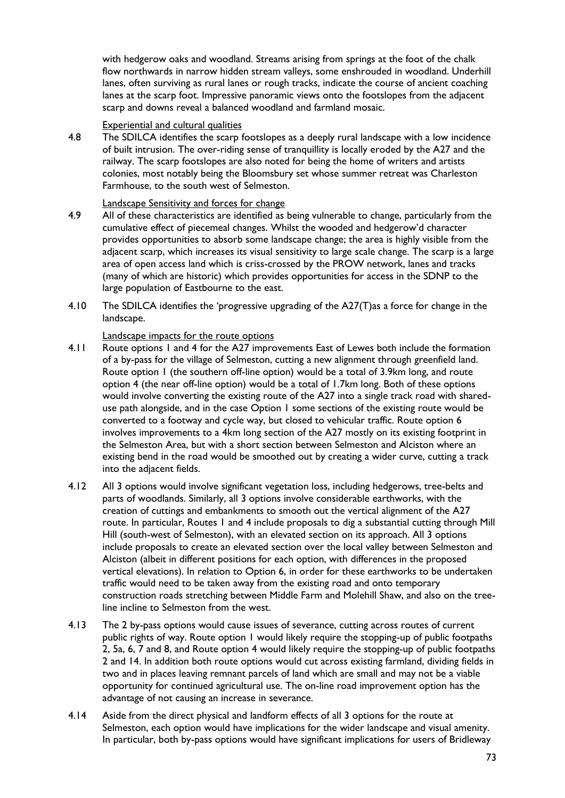with hedgerow oaks and woodland. Streams arising from springs at the foot of the chalk flow northwards in narrow hidden stream valleys, some enshrouded in woodland. Underhill lanes, often surviving as rural lanes or rough tracks, indicate the course of ancient coaching lanes at the scarp foot. Impressive panoramic views onto the footslopes from the adjacent scarp and downs reveal a balanced woodland and farmland mosaic.

#### Experiential and cultural qualities

4.8 The SDILCA identifies the scarp footslopes as a deeply rural landscape with a low incidence of built intrusion. The over-riding sense of tranquillity is locally eroded by the A27 and the railway. The scarp footslopes are also noted for being the home of writers and artists colonies, most notably being the Bloomsbury set whose summer retreat was Charleston Farmhouse, to the south west of Selmeston.

#### Landscape Sensitivity and forces for change

- 4.9 All of these characteristics are identified as being vulnerable to change, particularly from the cumulative effect of piecemeal changes. Whilst the wooded and hedgerow'd character provides opportunities to absorb some landscape change; the area is highly visible from the adjacent scarp, which increases its visual sensitivity to large scale change. The scarp is a large area of open access land which is criss-crossed by the PROW network, lanes and tracks (many of which are historic) which provides opportunities for access in the SDNP to the large population of Eastbourne to the east.
- 4.10 The SDILCA identifies the 'progressive upgrading of the A27(T)as a force for change in the landscape.

#### Landscape impacts for the route options

- 4.11 Route options 1 and 4 for the A27 improvements East of Lewes both include the formation of a by-pass for the village of Selmeston, cutting a new alignment through greenfield land. Route option 1 (the southern off-line option) would be a total of 3.9km long, and route option 4 (the near off-line option) would be a total of 1.7km long. Both of these options would involve converting the existing route of the A27 into a single track road with shareduse path alongside, and in the case Option 1 some sections of the existing route would be converted to a footway and cycle way, but closed to vehicular traffic. Route option 6 involves improvements to a 4km long section of the A27 mostly on its existing footprint in the Selmeston Area, but with a short section between Selmeston and Alciston where an existing bend in the road would be smoothed out by creating a wider curve, cutting a track into the adjacent fields.
- 4.12 All 3 options would involve significant vegetation loss, including hedgerows, tree-belts and parts of woodlands. Similarly, all 3 options involve considerable earthworks, with the creation of cuttings and embankments to smooth out the vertical alignment of the A27 route. In particular, Routes 1 and 4 include proposals to dig a substantial cutting through Mill Hill (south-west of Selmeston), with an elevated section on its approach. All 3 options include proposals to create an elevated section over the local valley between Selmeston and Alciston (albeit in different positions for each option, with differences in the proposed vertical elevations). In relation to Option 6, in order for these earthworks to be undertaken traffic would need to be taken away from the existing road and onto temporary construction roads stretching between Middle Farm and Molehill Shaw, and also on the treeline incline to Selmeston from the west.
- 4.13 The 2 by-pass options would cause issues of severance, cutting across routes of current public rights of way. Route option 1 would likely require the stopping-up of public footpaths 2, 5a, 6, 7 and 8, and Route option 4 would likely require the stopping-up of public footpaths 2 and 14. In addition both route options would cut across existing farmland, dividing fields in two and in places leaving remnant parcels of land which are small and may not be a viable opportunity for continued agricultural use. The on-line road improvement option has the advantage of not causing an increase in severance.
- 4.14 Aside from the direct physical and landform effects of all 3 options for the route at Selmeston, each option would have implications for the wider landscape and visual amenity. In particular, both by-pass options would have significant implications for users of Bridleway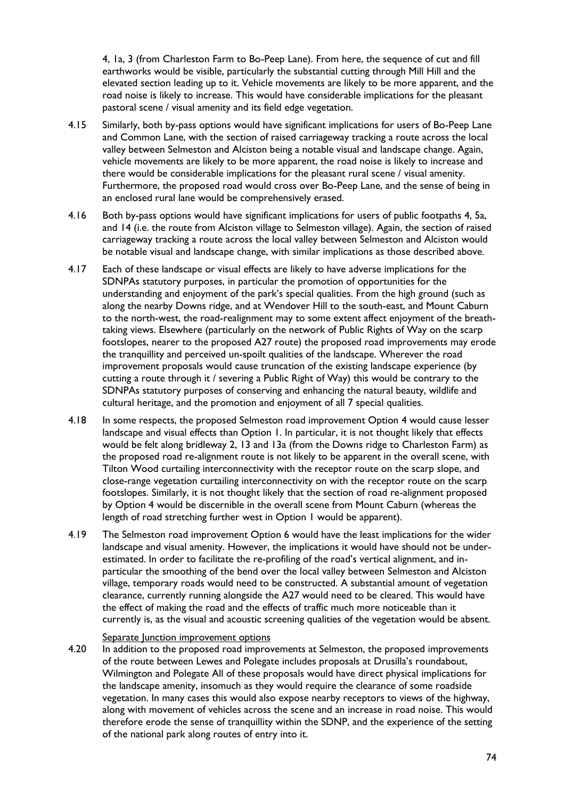4, 1a, 3 (from Charleston Farm to Bo-Peep Lane). From here, the sequence of cut and fill earthworks would be visible, particularly the substantial cutting through Mill Hill and the elevated section leading up to it. Vehicle movements are likely to be more apparent, and the road noise is likely to increase. This would have considerable implications for the pleasant pastoral scene / visual amenity and its field edge vegetation.

- 4.15 Similarly, both by-pass options would have significant implications for users of Bo-Peep Lane and Common Lane, with the section of raised carriageway tracking a route across the local valley between Selmeston and Alciston being a notable visual and landscape change. Again, vehicle movements are likely to be more apparent, the road noise is likely to increase and there would be considerable implications for the pleasant rural scene / visual amenity. Furthermore, the proposed road would cross over Bo-Peep Lane, and the sense of being in an enclosed rural lane would be comprehensively erased.
- 4.16 Both by-pass options would have significant implications for users of public footpaths 4, 5a, and 14 (i.e. the route from Alciston village to Selmeston village). Again, the section of raised carriageway tracking a route across the local valley between Selmeston and Alciston would be notable visual and landscape change, with similar implications as those described above.
- 4.17 Each of these landscape or visual effects are likely to have adverse implications for the SDNPAs statutory purposes, in particular the promotion of opportunities for the understanding and enjoyment of the park's special qualities. From the high ground (such as along the nearby Downs ridge, and at Wendover Hill to the south-east, and Mount Caburn to the north-west, the road-realignment may to some extent affect enjoyment of the breathtaking views. Elsewhere (particularly on the network of Public Rights of Way on the scarp footslopes, nearer to the proposed A27 route) the proposed road improvements may erode the tranquillity and perceived un-spoilt qualities of the landscape. Wherever the road improvement proposals would cause truncation of the existing landscape experience (by cutting a route through it / severing a Public Right of Way) this would be contrary to the SDNPAs statutory purposes of conserving and enhancing the natural beauty, wildlife and cultural heritage, and the promotion and enjoyment of all 7 special qualities.
- 4.18 In some respects, the proposed Selmeston road improvement Option 4 would cause lesser landscape and visual effects than Option 1. In particular, it is not thought likely that effects would be felt along bridleway 2, 13 and 13a (from the Downs ridge to Charleston Farm) as the proposed road re-alignment route is not likely to be apparent in the overall scene, with Tilton Wood curtailing interconnectivity with the receptor route on the scarp slope, and close-range vegetation curtailing interconnectivity on with the receptor route on the scarp footslopes. Similarly, it is not thought likely that the section of road re-alignment proposed by Option 4 would be discernible in the overall scene from Mount Caburn (whereas the length of road stretching further west in Option 1 would be apparent).
- 4.19 The Selmeston road improvement Option 6 would have the least implications for the wider landscape and visual amenity. However, the implications it would have should not be underestimated. In order to facilitate the re-profiling of the road's vertical alignment, and inparticular the smoothing of the bend over the local valley between Selmeston and Alciston village, temporary roads would need to be constructed. A substantial amount of vegetation clearance, currently running alongside the A27 would need to be cleared. This would have the effect of making the road and the effects of traffic much more noticeable than it currently is, as the visual and acoustic screening qualities of the vegetation would be absent.

#### Separate Junction improvement options

4.20 In addition to the proposed road improvements at Selmeston, the proposed improvements of the route between Lewes and Polegate includes proposals at Drusilla's roundabout, Wilmington and Polegate All of these proposals would have direct physical implications for the landscape amenity, insomuch as they would require the clearance of some roadside vegetation. In many cases this would also expose nearby receptors to views of the highway, along with movement of vehicles across the scene and an increase in road noise. This would therefore erode the sense of tranquillity within the SDNP, and the experience of the setting of the national park along routes of entry into it.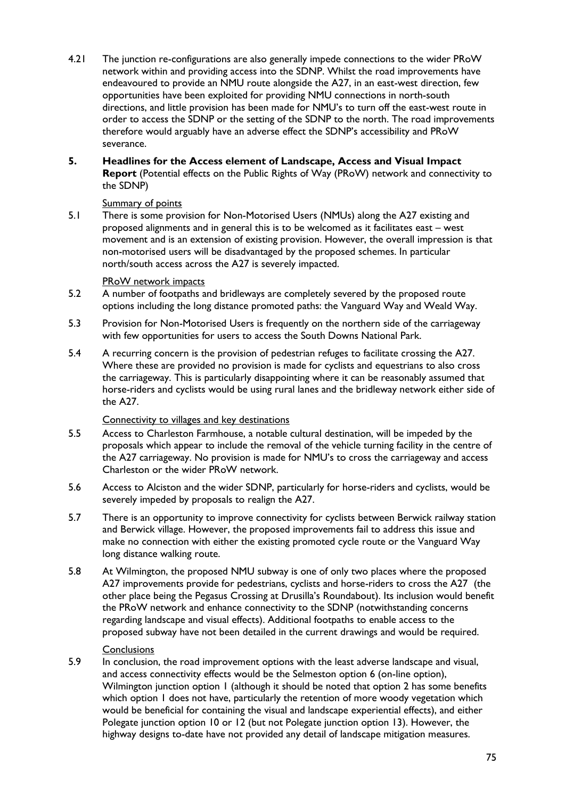- 4.21 The junction re-configurations are also generally impede connections to the wider PRoW network within and providing access into the SDNP. Whilst the road improvements have endeavoured to provide an NMU route alongside the A27, in an east-west direction, few opportunities have been exploited for providing NMU connections in north-south directions, and little provision has been made for NMU's to turn off the east-west route in order to access the SDNP or the setting of the SDNP to the north. The road improvements therefore would arguably have an adverse effect the SDNP's accessibility and PRoW severance.
- **5. Headlines for the Access element of Landscape, Access and Visual Impact Report** (Potential effects on the Public Rights of Way (PRoW) network and connectivity to the SDNP)

#### Summary of points

5.1 There is some provision for Non-Motorised Users (NMUs) along the A27 existing and proposed alignments and in general this is to be welcomed as it facilitates east – west movement and is an extension of existing provision. However, the overall impression is that non-motorised users will be disadvantaged by the proposed schemes. In particular north/south access across the A27 is severely impacted.

#### PRoW network impacts

- 5.2 A number of footpaths and bridleways are completely severed by the proposed route options including the long distance promoted paths: the Vanguard Way and Weald Way.
- 5.3 Provision for Non-Motorised Users is frequently on the northern side of the carriageway with few opportunities for users to access the South Downs National Park.
- 5.4 A recurring concern is the provision of pedestrian refuges to facilitate crossing the A27. Where these are provided no provision is made for cyclists and equestrians to also cross the carriageway. This is particularly disappointing where it can be reasonably assumed that horse-riders and cyclists would be using rural lanes and the bridleway network either side of the A27.

# Connectivity to villages and key destinations

- 5.5 Access to Charleston Farmhouse, a notable cultural destination, will be impeded by the proposals which appear to include the removal of the vehicle turning facility in the centre of the A27 carriageway. No provision is made for NMU's to cross the carriageway and access Charleston or the wider PRoW network.
- 5.6 Access to Alciston and the wider SDNP, particularly for horse-riders and cyclists, would be severely impeded by proposals to realign the A27.
- 5.7 There is an opportunity to improve connectivity for cyclists between Berwick railway station and Berwick village. However, the proposed improvements fail to address this issue and make no connection with either the existing promoted cycle route or the Vanguard Way long distance walking route.
- 5.8 At Wilmington, the proposed NMU subway is one of only two places where the proposed A27 improvements provide for pedestrians, cyclists and horse-riders to cross the A27 (the other place being the Pegasus Crossing at Drusilla's Roundabout). Its inclusion would benefit the PRoW network and enhance connectivity to the SDNP (notwithstanding concerns regarding landscape and visual effects). Additional footpaths to enable access to the proposed subway have not been detailed in the current drawings and would be required.

# **Conclusions**

5.9 In conclusion, the road improvement options with the least adverse landscape and visual, and access connectivity effects would be the Selmeston option 6 (on-line option), Wilmington junction option 1 (although it should be noted that option 2 has some benefits which option 1 does not have, particularly the retention of more woody vegetation which would be beneficial for containing the visual and landscape experiential effects), and either Polegate junction option 10 or 12 (but not Polegate junction option 13). However, the highway designs to-date have not provided any detail of landscape mitigation measures.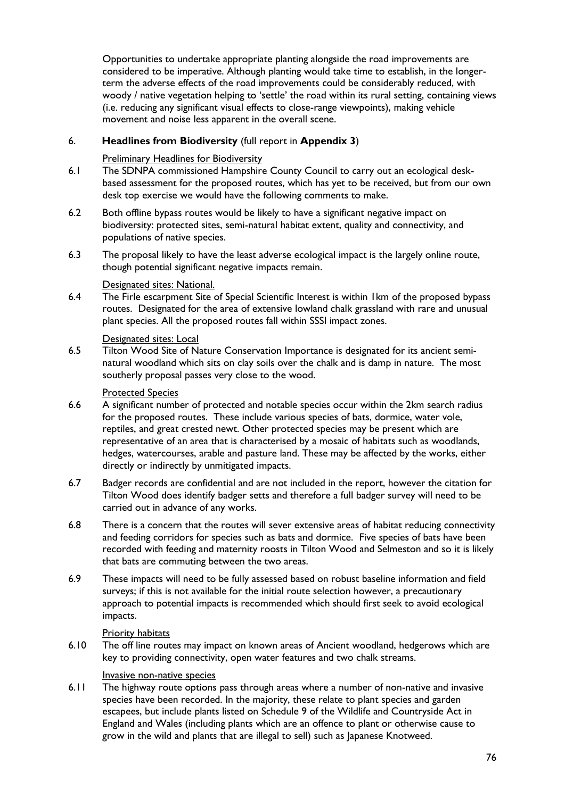Opportunities to undertake appropriate planting alongside the road improvements are considered to be imperative. Although planting would take time to establish, in the longerterm the adverse effects of the road improvements could be considerably reduced, with woody / native vegetation helping to 'settle' the road within its rural setting, containing views (i.e. reducing any significant visual effects to close-range viewpoints), making vehicle movement and noise less apparent in the overall scene.

# 6. **Headlines from Biodiversity** (full report in **Appendix 3**)

### Preliminary Headlines for Biodiversity

- 6.1 The SDNPA commissioned Hampshire County Council to carry out an ecological deskbased assessment for the proposed routes, which has yet to be received, but from our own desk top exercise we would have the following comments to make.
- 6.2 Both offline bypass routes would be likely to have a significant negative impact on biodiversity: protected sites, semi-natural habitat extent, quality and connectivity, and populations of native species.
- 6.3 The proposal likely to have the least adverse ecological impact is the largely online route, though potential significant negative impacts remain.

#### Designated sites: National.

6.4 The Firle escarpment Site of Special Scientific Interest is within 1km of the proposed bypass routes. Designated for the area of extensive lowland chalk grassland with rare and unusual plant species. All the proposed routes fall within SSSI impact zones.

#### Designated sites: Local

6.5 Tilton Wood Site of Nature Conservation Importance is designated for its ancient seminatural woodland which sits on clay soils over the chalk and is damp in nature. The most southerly proposal passes very close to the wood.

#### Protected Species

- 6.6 A significant number of protected and notable species occur within the 2km search radius for the proposed routes. These include various species of bats, dormice, water vole, reptiles, and great crested newt. Other protected species may be present which are representative of an area that is characterised by a mosaic of habitats such as woodlands, hedges, watercourses, arable and pasture land. These may be affected by the works, either directly or indirectly by unmitigated impacts.
- 6.7 Badger records are confidential and are not included in the report, however the citation for Tilton Wood does identify badger setts and therefore a full badger survey will need to be carried out in advance of any works.
- 6.8 There is a concern that the routes will sever extensive areas of habitat reducing connectivity and feeding corridors for species such as bats and dormice. Five species of bats have been recorded with feeding and maternity roosts in Tilton Wood and Selmeston and so it is likely that bats are commuting between the two areas.
- 6.9 These impacts will need to be fully assessed based on robust baseline information and field surveys; if this is not available for the initial route selection however, a precautionary approach to potential impacts is recommended which should first seek to avoid ecological impacts.

#### Priority habitats

6.10 The off line routes may impact on known areas of Ancient woodland, hedgerows which are key to providing connectivity, open water features and two chalk streams.

#### Invasive non-native species

6.11 The highway route options pass through areas where a number of non-native and invasive species have been recorded. In the majority, these relate to plant species and garden escapees, but include plants listed on Schedule 9 of the Wildlife and Countryside Act in England and Wales (including plants which are an offence to plant or otherwise cause to grow in the wild and plants that are illegal to sell) such as Japanese Knotweed.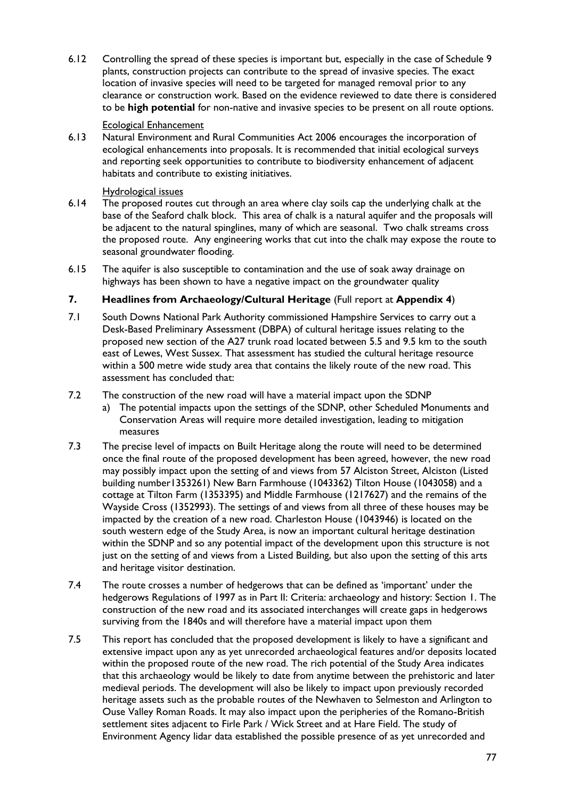6.12 Controlling the spread of these species is important but, especially in the case of Schedule 9 plants, construction projects can contribute to the spread of invasive species. The exact location of invasive species will need to be targeted for managed removal prior to any clearance or construction work. Based on the evidence reviewed to date there is considered to be **high potential** for non-native and invasive species to be present on all route options.

#### Ecological Enhancement

6.13 Natural Environment and Rural Communities Act 2006 encourages the incorporation of ecological enhancements into proposals. It is recommended that initial ecological surveys and reporting seek opportunities to contribute to biodiversity enhancement of adjacent habitats and contribute to existing initiatives.

#### Hydrological issues

- 6.14 The proposed routes cut through an area where clay soils cap the underlying chalk at the base of the Seaford chalk block. This area of chalk is a natural aquifer and the proposals will be adjacent to the natural spinglines, many of which are seasonal. Two chalk streams cross the proposed route. Any engineering works that cut into the chalk may expose the route to seasonal groundwater flooding.
- 6.15 The aquifer is also susceptible to contamination and the use of soak away drainage on highways has been shown to have a negative impact on the groundwater quality

# **7. Headlines from Archaeology/Cultural Heritage** (Full report at **Appendix 4**)

- 7.1 South Downs National Park Authority commissioned Hampshire Services to carry out a Desk-Based Preliminary Assessment (DBPA) of cultural heritage issues relating to the proposed new section of the A27 trunk road located between 5.5 and 9.5 km to the south east of Lewes, West Sussex. That assessment has studied the cultural heritage resource within a 500 metre wide study area that contains the likely route of the new road. This assessment has concluded that:
- 7.2 The construction of the new road will have a material impact upon the SDNP
	- a) The potential impacts upon the settings of the SDNP, other Scheduled Monuments and Conservation Areas will require more detailed investigation, leading to mitigation measures
- 7.3 The precise level of impacts on Built Heritage along the route will need to be determined once the final route of the proposed development has been agreed, however, the new road may possibly impact upon the setting of and views from 57 Alciston Street, Alciston (Listed building number1353261) New Barn Farmhouse (1043362) Tilton House (1043058) and a cottage at Tilton Farm (1353395) and Middle Farmhouse (1217627) and the remains of the Wayside Cross (1352993). The settings of and views from all three of these houses may be impacted by the creation of a new road. Charleston House (1043946) is located on the south western edge of the Study Area, is now an important cultural heritage destination within the SDNP and so any potential impact of the development upon this structure is not just on the setting of and views from a Listed Building, but also upon the setting of this arts and heritage visitor destination.
- 7.4 The route crosses a number of hedgerows that can be defined as 'important' under the hedgerows Regulations of 1997 as in Part II: Criteria: archaeology and history: Section 1. The construction of the new road and its associated interchanges will create gaps in hedgerows surviving from the 1840s and will therefore have a material impact upon them
- 7.5 This report has concluded that the proposed development is likely to have a significant and extensive impact upon any as yet unrecorded archaeological features and/or deposits located within the proposed route of the new road. The rich potential of the Study Area indicates that this archaeology would be likely to date from anytime between the prehistoric and later medieval periods. The development will also be likely to impact upon previously recorded heritage assets such as the probable routes of the Newhaven to Selmeston and Arlington to Ouse Valley Roman Roads. It may also impact upon the peripheries of the Romano-British settlement sites adjacent to Firle Park / Wick Street and at Hare Field. The study of Environment Agency lidar data established the possible presence of as yet unrecorded and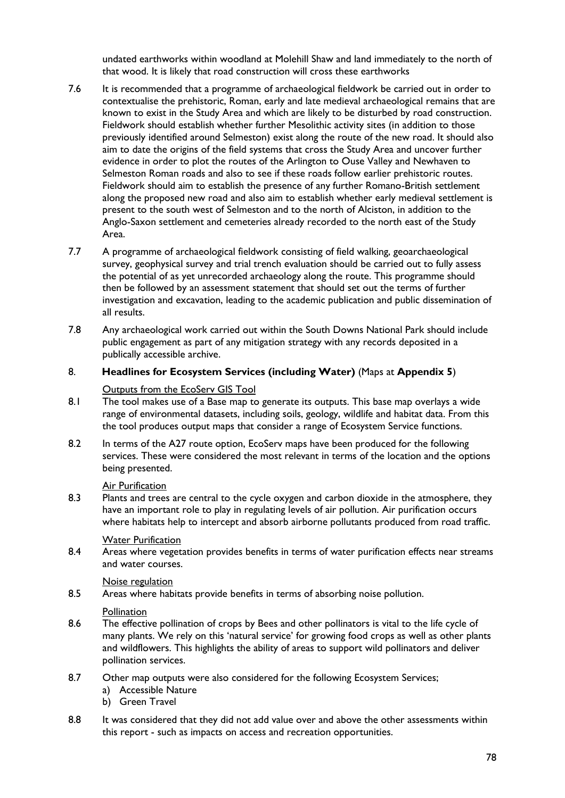undated earthworks within woodland at Molehill Shaw and land immediately to the north of that wood. It is likely that road construction will cross these earthworks

- 7.6 It is recommended that a programme of archaeological fieldwork be carried out in order to contextualise the prehistoric, Roman, early and late medieval archaeological remains that are known to exist in the Study Area and which are likely to be disturbed by road construction. Fieldwork should establish whether further Mesolithic activity sites (in addition to those previously identified around Selmeston) exist along the route of the new road. It should also aim to date the origins of the field systems that cross the Study Area and uncover further evidence in order to plot the routes of the Arlington to Ouse Valley and Newhaven to Selmeston Roman roads and also to see if these roads follow earlier prehistoric routes. Fieldwork should aim to establish the presence of any further Romano-British settlement along the proposed new road and also aim to establish whether early medieval settlement is present to the south west of Selmeston and to the north of Alciston, in addition to the Anglo-Saxon settlement and cemeteries already recorded to the north east of the Study Area.
- 7.7 A programme of archaeological fieldwork consisting of field walking, geoarchaeological survey, geophysical survey and trial trench evaluation should be carried out to fully assess the potential of as yet unrecorded archaeology along the route. This programme should then be followed by an assessment statement that should set out the terms of further investigation and excavation, leading to the academic publication and public dissemination of all results.
- 7.8 Any archaeological work carried out within the South Downs National Park should include public engagement as part of any mitigation strategy with any records deposited in a publically accessible archive.

## 8. **Headlines for Ecosystem Services (including Water)** (Maps at **Appendix 5**)

#### Outputs from the EcoServ GIS Tool

- 8.1 The tool makes use of a Base map to generate its outputs. This base map overlays a wide range of environmental datasets, including soils, geology, wildlife and habitat data. From this the tool produces output maps that consider a range of Ecosystem Service functions.
- 8.2 In terms of the A27 route option, EcoServ maps have been produced for the following services. These were considered the most relevant in terms of the location and the options being presented.

# Air Purification

8.3 Plants and trees are central to the cycle oxygen and carbon dioxide in the atmosphere, they have an important role to play in regulating levels of air pollution. Air purification occurs where habitats help to intercept and absorb airborne pollutants produced from road traffic.

#### Water Purification

8.4 Areas where vegetation provides benefits in terms of water purification effects near streams and water courses.

#### Noise regulation

8.5 Areas where habitats provide benefits in terms of absorbing noise pollution.

# **Pollination**

- 8.6 The effective pollination of crops by Bees and other pollinators is vital to the life cycle of many plants. We rely on this 'natural service' for growing food crops as well as other plants and wildflowers. This highlights the ability of areas to support wild pollinators and deliver pollination services.
- 8.7 Other map outputs were also considered for the following Ecosystem Services;
	- a) Accessible Nature
	- b) Green Travel
- 8.8 It was considered that they did not add value over and above the other assessments within this report - such as impacts on access and recreation opportunities.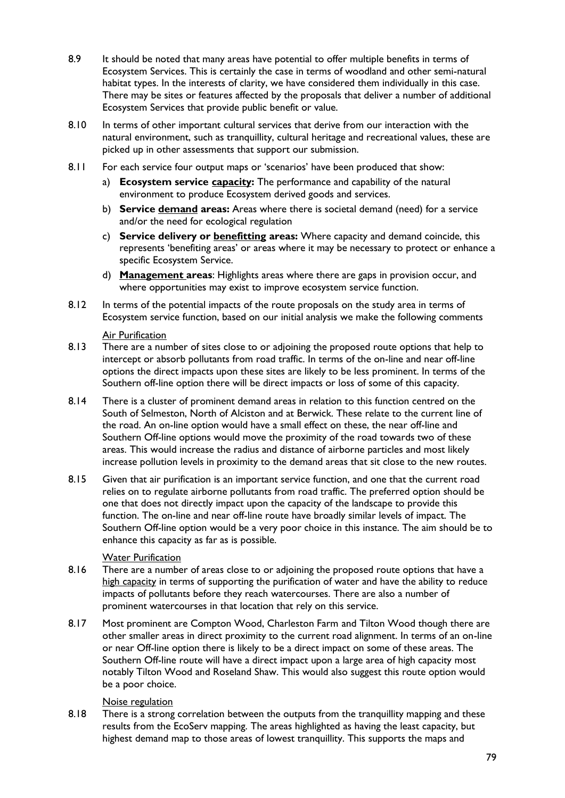- 8.9 It should be noted that many areas have potential to offer multiple benefits in terms of Ecosystem Services. This is certainly the case in terms of woodland and other semi-natural habitat types. In the interests of clarity, we have considered them individually in this case. There may be sites or features affected by the proposals that deliver a number of additional Ecosystem Services that provide public benefit or value.
- 8.10 In terms of other important cultural services that derive from our interaction with the natural environment, such as tranquillity, cultural heritage and recreational values, these are picked up in other assessments that support our submission.
- 8.11 For each service four output maps or 'scenarios' have been produced that show:
	- a) **Ecosystem service capacity:** The performance and capability of the natural environment to produce Ecosystem derived goods and services.
	- b) **Service demand areas:** Areas where there is societal demand (need) for a service and/or the need for ecological regulation
	- c) **Service delivery or benefitting areas:** Where capacity and demand coincide, this represents 'benefiting areas' or areas where it may be necessary to protect or enhance a specific Ecosystem Service.
	- d) **Management areas**: Highlights areas where there are gaps in provision occur, and where opportunities may exist to improve ecosystem service function.
- 8.12 In terms of the potential impacts of the route proposals on the study area in terms of Ecosystem service function, based on our initial analysis we make the following comments

#### Air Purification

- 8.13 There are a number of sites close to or adjoining the proposed route options that help to intercept or absorb pollutants from road traffic. In terms of the on-line and near off-line options the direct impacts upon these sites are likely to be less prominent. In terms of the Southern off-line option there will be direct impacts or loss of some of this capacity.
- 8.14 There is a cluster of prominent demand areas in relation to this function centred on the South of Selmeston, North of Alciston and at Berwick. These relate to the current line of the road. An on-line option would have a small effect on these, the near off-line and Southern Off-line options would move the proximity of the road towards two of these areas. This would increase the radius and distance of airborne particles and most likely increase pollution levels in proximity to the demand areas that sit close to the new routes.
- 8.15 Given that air purification is an important service function, and one that the current road relies on to regulate airborne pollutants from road traffic. The preferred option should be one that does not directly impact upon the capacity of the landscape to provide this function. The on-line and near off-line route have broadly similar levels of impact. The Southern Off-line option would be a very poor choice in this instance. The aim should be to enhance this capacity as far as is possible.

# **Water Purification**

- 8.16 There are a number of areas close to or adjoining the proposed route options that have a high capacity in terms of supporting the purification of water and have the ability to reduce impacts of pollutants before they reach watercourses. There are also a number of prominent watercourses in that location that rely on this service.
- 8.17 Most prominent are Compton Wood, Charleston Farm and Tilton Wood though there are other smaller areas in direct proximity to the current road alignment. In terms of an on-line or near Off-line option there is likely to be a direct impact on some of these areas. The Southern Off-line route will have a direct impact upon a large area of high capacity most notably Tilton Wood and Roseland Shaw. This would also suggest this route option would be a poor choice.

# Noise regulation

8.18 There is a strong correlation between the outputs from the tranquillity mapping and these results from the EcoServ mapping. The areas highlighted as having the least capacity, but highest demand map to those areas of lowest tranquillity. This supports the maps and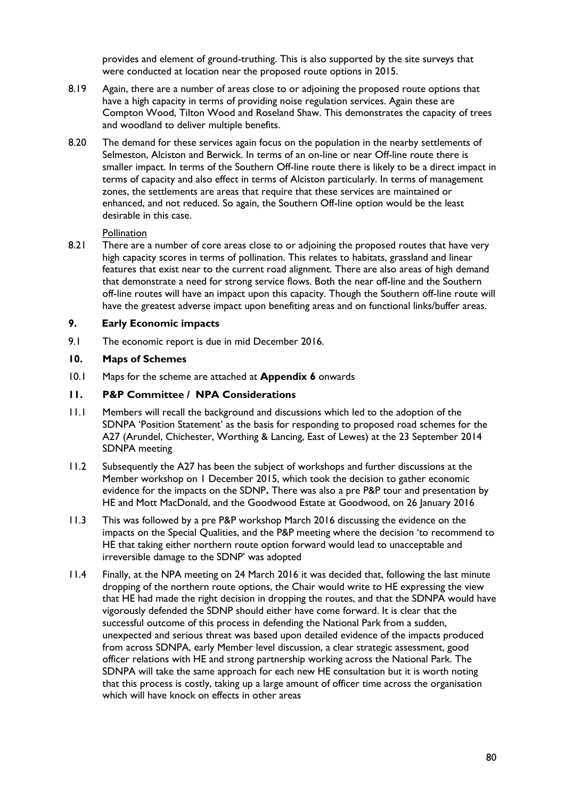provides and element of ground-truthing. This is also supported by the site surveys that were conducted at location near the proposed route options in 2015.

- 8.19 Again, there are a number of areas close to or adjoining the proposed route options that have a high capacity in terms of providing noise regulation services. Again these are Compton Wood, Tilton Wood and Roseland Shaw. This demonstrates the capacity of trees and woodland to deliver multiple benefits.
- 8.20 The demand for these services again focus on the population in the nearby settlements of Selmeston, Alciston and Berwick. In terms of an on-line or near Off-line route there is smaller impact. In terms of the Southern Off-line route there is likely to be a direct impact in terms of capacity and also effect in terms of Alciston particularly. In terms of management zones, the settlements are areas that require that these services are maintained or enhanced, and not reduced. So again, the Southern Off-line option would be the least desirable in this case.

#### Pollination

8.21 There are a number of core areas close to or adjoining the proposed routes that have very high capacity scores in terms of pollination. This relates to habitats, grassland and linear features that exist near to the current road alignment. There are also areas of high demand that demonstrate a need for strong service flows. Both the near off-line and the Southern off-line routes will have an impact upon this capacity. Though the Southern off-line route will have the greatest adverse impact upon benefiting areas and on functional links/buffer areas.

#### **9. Early Economic impacts**

9.1 The economic report is due in mid December 2016.

#### **10. Maps of Schemes**

10.1 Maps for the scheme are attached at **Appendix 6** onwards

### **11. P&P Committee / NPA Considerations**

- 11.1 Members will recall the background and discussions which led to the adoption of the SDNPA 'Position Statement' as the basis for responding to proposed road schemes for the A27 (Arundel, Chichester, Worthing & Lancing, East of Lewes) at the 23 September 2014 SDNPA meeting
- 11.2 Subsequently the A27 has been the subject of workshops and further discussions at the Member workshop on 1 December 2015, which took the decision to gather economic evidence for the impacts on the SDNP**.** There was also a pre P&P tour and presentation by HE and Mott MacDonald, and the Goodwood Estate at Goodwood, on 26 January 2016
- 11.3 This was followed by a pre P&P workshop March 2016 discussing the evidence on the impacts on the Special Qualities, and the P&P meeting where the decision 'to recommend to HE that taking either northern route option forward would lead to unacceptable and irreversible damage to the SDNP' was adopted
- 11.4 Finally, at the NPA meeting on 24 March 2016 it was decided that, following the last minute dropping of the northern route options, the Chair would write to HE expressing the view that HE had made the right decision in dropping the routes, and that the SDNPA would have vigorously defended the SDNP should either have come forward. It is clear that the successful outcome of this process in defending the National Park from a sudden, unexpected and serious threat was based upon detailed evidence of the impacts produced from across SDNPA, early Member level discussion, a clear strategic assessment, good officer relations with HE and strong partnership working across the National Park. The SDNPA will take the same approach for each new HE consultation but it is worth noting that this process is costly, taking up a large amount of officer time across the organisation which will have knock on effects in other areas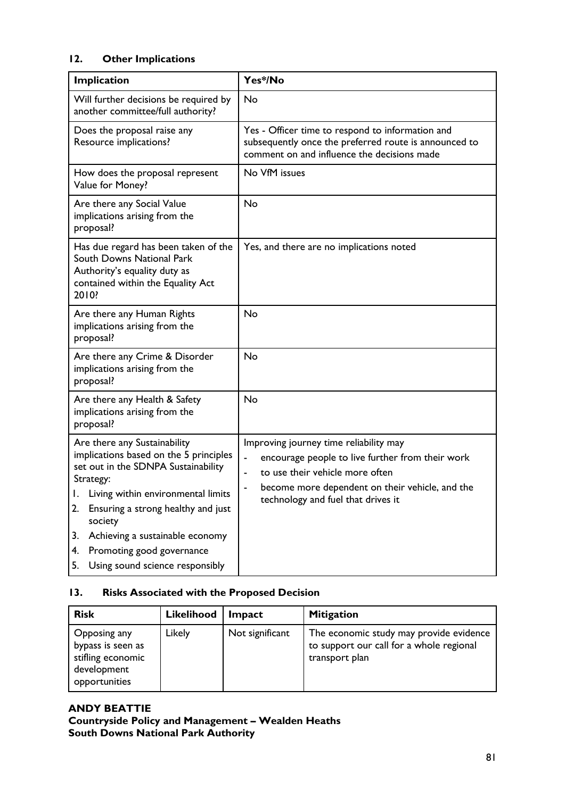# **12. Other Implications**

| Implication                                                                                                                                                                                                                                                                                                                                     | Yes*/No                                                                                                                                                                                                                |  |  |
|-------------------------------------------------------------------------------------------------------------------------------------------------------------------------------------------------------------------------------------------------------------------------------------------------------------------------------------------------|------------------------------------------------------------------------------------------------------------------------------------------------------------------------------------------------------------------------|--|--|
| Will further decisions be required by<br>another committee/full authority?                                                                                                                                                                                                                                                                      | No                                                                                                                                                                                                                     |  |  |
| Does the proposal raise any<br>Resource implications?                                                                                                                                                                                                                                                                                           | Yes - Officer time to respond to information and<br>subsequently once the preferred route is announced to<br>comment on and influence the decisions made                                                               |  |  |
| How does the proposal represent<br>Value for Money?                                                                                                                                                                                                                                                                                             | No VfM issues                                                                                                                                                                                                          |  |  |
| Are there any Social Value<br>implications arising from the<br>proposal?                                                                                                                                                                                                                                                                        | <b>No</b>                                                                                                                                                                                                              |  |  |
| Has due regard has been taken of the<br>South Downs National Park<br>Authority's equality duty as<br>contained within the Equality Act<br>2010?                                                                                                                                                                                                 | Yes, and there are no implications noted                                                                                                                                                                               |  |  |
| Are there any Human Rights<br>implications arising from the<br>proposal?                                                                                                                                                                                                                                                                        | No                                                                                                                                                                                                                     |  |  |
| Are there any Crime & Disorder<br>implications arising from the<br>proposal?                                                                                                                                                                                                                                                                    | No                                                                                                                                                                                                                     |  |  |
| Are there any Health & Safety<br>implications arising from the<br>proposal?                                                                                                                                                                                                                                                                     | No                                                                                                                                                                                                                     |  |  |
| Are there any Sustainability<br>implications based on the 5 principles<br>set out in the SDNPA Sustainability<br>Strategy:<br>I. Living within environmental limits<br>Ensuring a strong healthy and just<br>2.<br>society<br>Achieving a sustainable economy<br>3.<br>Promoting good governance<br>4.<br>Using sound science responsibly<br>5. | Improving journey time reliability may<br>encourage people to live further from their work<br>to use their vehicle more often<br>become more dependent on their vehicle, and the<br>technology and fuel that drives it |  |  |

# **13. Risks Associated with the Proposed Decision**

| <b>Risk</b>                                                                            | Likelihood | Impact          | <b>Mitigation</b>                                                                                     |
|----------------------------------------------------------------------------------------|------------|-----------------|-------------------------------------------------------------------------------------------------------|
| Opposing any<br>bypass is seen as<br>stifling economic<br>development<br>opportunities | Likely     | Not significant | The economic study may provide evidence<br>to support our call for a whole regional<br>transport plan |

# **ANDY BEATTIE Countryside Policy and Management – Wealden Heaths South Downs National Park Authority**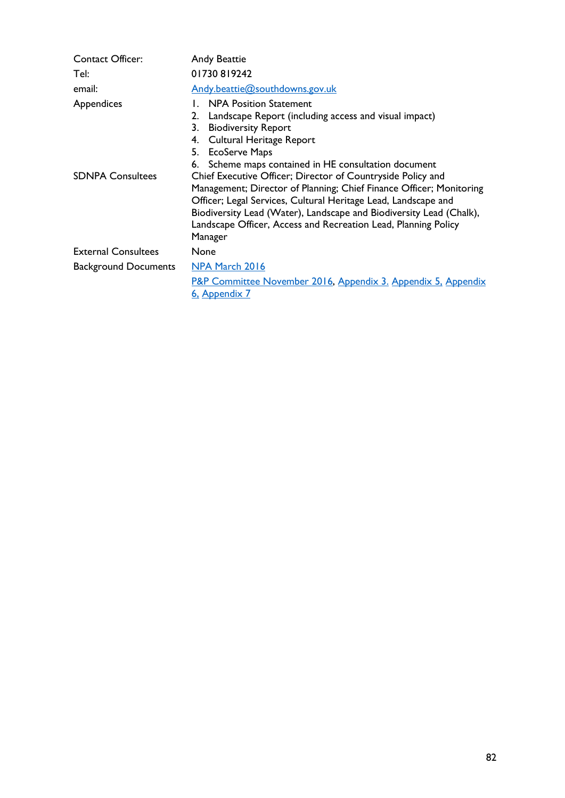| <b>Contact Officer:</b>               | <b>Andy Beattie</b>                                                                                                                                                                                                                                                                                       |  |  |
|---------------------------------------|-----------------------------------------------------------------------------------------------------------------------------------------------------------------------------------------------------------------------------------------------------------------------------------------------------------|--|--|
| Tel:                                  | 01730819242                                                                                                                                                                                                                                                                                               |  |  |
| email:                                | Andy.beattie@southdowns.gov.uk                                                                                                                                                                                                                                                                            |  |  |
| Appendices<br><b>SDNPA Consultees</b> | 1. NPA Position Statement<br>Landscape Report (including access and visual impact)<br>2.<br><b>Biodiversity Report</b><br>3.<br>Cultural Heritage Report<br>4.<br>5. EcoServe Maps<br>6. Scheme maps contained in HE consultation document<br>Chief Executive Officer; Director of Countryside Policy and |  |  |
|                                       | Management; Director of Planning; Chief Finance Officer; Monitoring<br>Officer; Legal Services, Cultural Heritage Lead, Landscape and<br>Biodiversity Lead (Water), Landscape and Biodiversity Lead (Chalk),<br>Landscape Officer, Access and Recreation Lead, Planning Policy<br>Manager                 |  |  |
| <b>External Consultees</b>            | <b>None</b>                                                                                                                                                                                                                                                                                               |  |  |
| <b>Background Documents</b>           | NPA March 2016<br>P&P Committee November 2016, Appendix 3. Appendix 5. Appendix<br>6, Appendix 7                                                                                                                                                                                                          |  |  |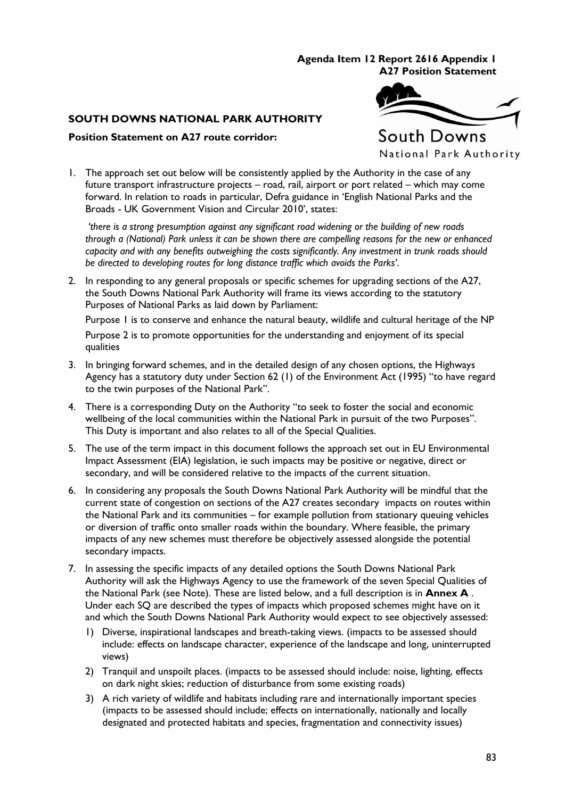#### **Agenda Item 12 Report 2616 Appendix 1 A27 Position Statement**

# **SOUTH DOWNS NATIONAL PARK AUTHORITY**

### **Position Statement on A27 route corridor:**



1. The approach set out below will be consistently applied by the Authority in the case of any future transport infrastructure projects – road, rail, airport or port related – which may come forward. In relation to roads in particular, Defra guidance in 'English National Parks and the Broads - UK Government Vision and Circular 2010', states:

*'there is a strong presumption against any significant road widening or the building of new roads through a (National) Park unless it can be shown there are compelling reasons for the new or enhanced capacity and with any benefits outweighing the costs significantly. Any investment in trunk roads should be directed to developing routes for long distance traffic which avoids the Parks'*.

2. In responding to any general proposals or specific schemes for upgrading sections of the A27, the South Downs National Park Authority will frame its views according to the statutory Purposes of National Parks as laid down by Parliament:

Purpose 1 is to conserve and enhance the natural beauty, wildlife and cultural heritage of the NP Purpose 2 is to promote opportunities for the understanding and enjoyment of its special qualities

- 3. In bringing forward schemes, and in the detailed design of any chosen options, the Highways Agency has a statutory duty under Section 62 (1) of the Environment Act (1995) "to have regard to the twin purposes of the National Park".
- 4. There is a corresponding Duty on the Authority "to seek to foster the social and economic wellbeing of the local communities within the National Park in pursuit of the two Purposes". This Duty is important and also relates to all of the Special Qualities.
- 5. The use of the term impact in this document follows the approach set out in EU Environmental Impact Assessment (EIA) legislation, ie such impacts may be positive or negative, direct or secondary, and will be considered relative to the impacts of the current situation.
- 6. In considering any proposals the South Downs National Park Authority will be mindful that the current state of congestion on sections of the A27 creates secondary impacts on routes within the National Park and its communities – for example pollution from stationary queuing vehicles or diversion of traffic onto smaller roads within the boundary. Where feasible, the primary impacts of any new schemes must therefore be objectively assessed alongside the potential secondary impacts.
- 7. In assessing the specific impacts of any detailed options the South Downs National Park Authority will ask the Highways Agency to use the framework of the seven Special Qualities of the National Park (see Note). These are listed below, and a full description is in **Annex A** . Under each SQ are described the types of impacts which proposed schemes might have on it and which the South Downs National Park Authority would expect to see objectively assessed:
	- 1) Diverse, inspirational landscapes and breath-taking views. (impacts to be assessed should include: effects on landscape character, experience of the landscape and long, uninterrupted views)
	- 2) Tranquil and unspoilt places. (impacts to be assessed should include: noise, lighting, effects on dark night skies; reduction of disturbance from some existing roads)
	- 3) A rich variety of wildlife and habitats including rare and internationally important species (impacts to be assessed should include; effects on internationally, nationally and locally designated and protected habitats and species, fragmentation and connectivity issues)